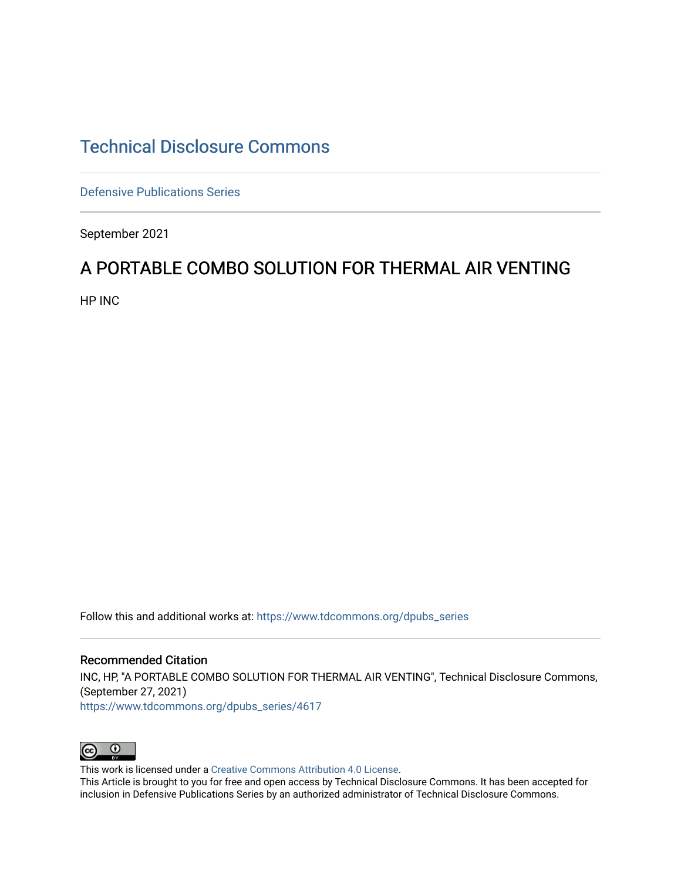# [Technical Disclosure Commons](https://www.tdcommons.org/)

[Defensive Publications Series](https://www.tdcommons.org/dpubs_series)

September 2021

# A PORTABLE COMBO SOLUTION FOR THERMAL AIR VENTING

HP INC

Follow this and additional works at: [https://www.tdcommons.org/dpubs\\_series](https://www.tdcommons.org/dpubs_series?utm_source=www.tdcommons.org%2Fdpubs_series%2F4617&utm_medium=PDF&utm_campaign=PDFCoverPages) 

#### Recommended Citation

INC, HP, "A PORTABLE COMBO SOLUTION FOR THERMAL AIR VENTING", Technical Disclosure Commons, (September 27, 2021)

[https://www.tdcommons.org/dpubs\\_series/4617](https://www.tdcommons.org/dpubs_series/4617?utm_source=www.tdcommons.org%2Fdpubs_series%2F4617&utm_medium=PDF&utm_campaign=PDFCoverPages)



This work is licensed under a [Creative Commons Attribution 4.0 License](http://creativecommons.org/licenses/by/4.0/deed.en_US).

This Article is brought to you for free and open access by Technical Disclosure Commons. It has been accepted for inclusion in Defensive Publications Series by an authorized administrator of Technical Disclosure Commons.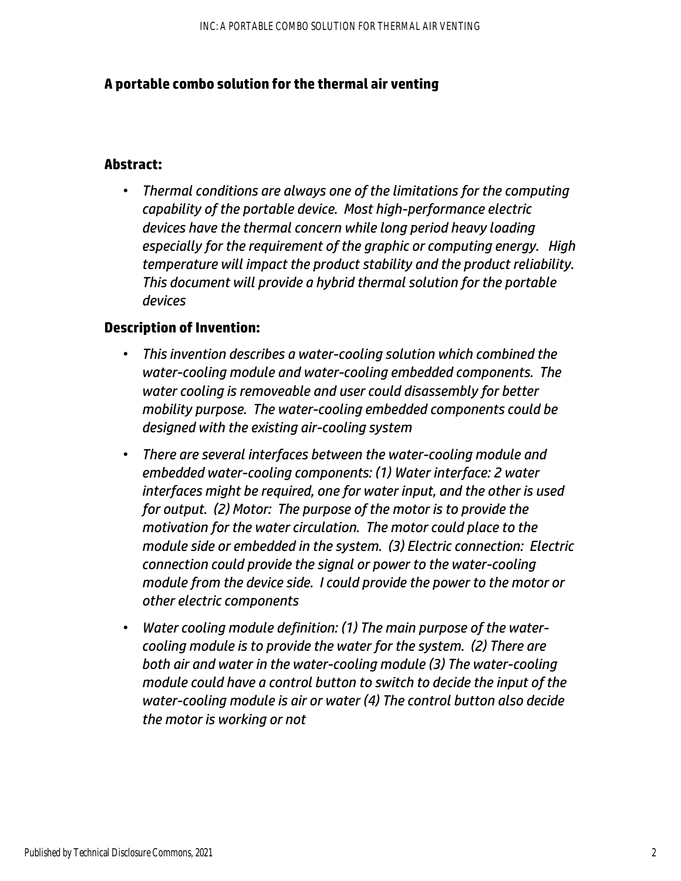## **A portable combo solution for the thermal air venting**

### **Abstract:**

• *Thermal conditions are always one of the limitations for the computing capability of the portable device. Most high-performance electric devices have the thermal concern while long period heavy loading especially for the requirement of the graphic or computing energy. High temperature will impact the product stability and the product reliability. This document will provide a hybrid thermal solution for the portable devices* 

## **Description of Invention:**

- *This invention describes a water-cooling solution which combined the water-cooling module and water-cooling embedded components. The water cooling is removeable and user could disassembly for better mobility purpose. The water-cooling embedded components could be designed with the existing air-cooling system*
- *There are several interfaces between the water-cooling module and embedded water-cooling components: (1) Water interface: 2 water interfaces might be required, one for water input, and the other is used for output. (2) Motor: The purpose of the motor is to provide the motivation for the water circulation. The motor could place to the module side or embedded in the system. (3) Electric connection: Electric connection could provide the signal or power to the water-cooling module from the device side. I could provide the power to the motor or other electric components*
- *Water cooling module definition: (1) The main purpose of the watercooling module is to provide the water for the system. (2) There are both air and water in the water-cooling module (3) The water-cooling module could have a control button to switch to decide the input of the water-cooling module is air or water (4) The control button also decide the motor is working or not*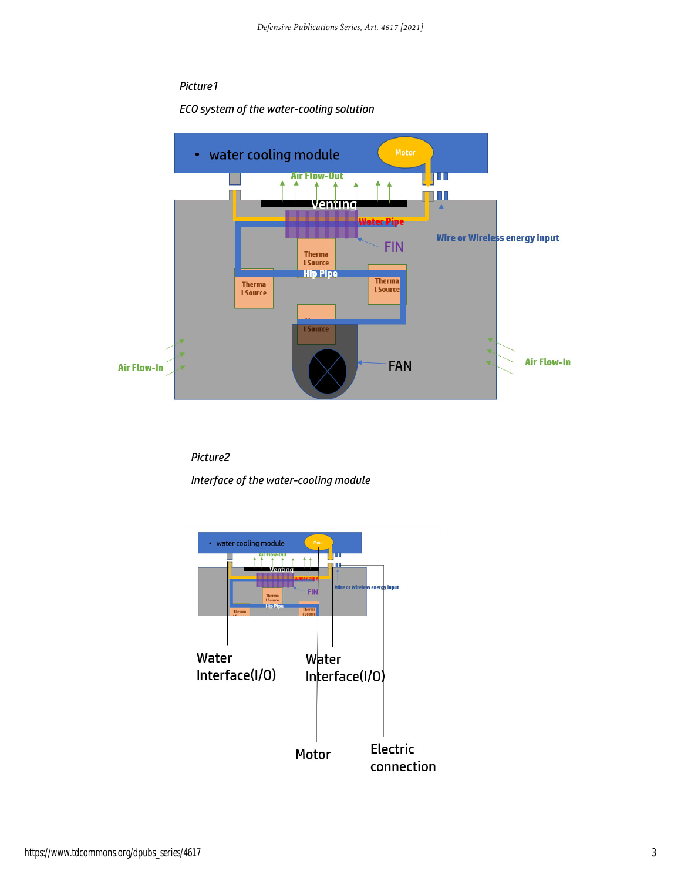### *Picture1*

#### *ECO system of the water-cooling solution*



*Picture2* 

*Interface of the water-cooling module*